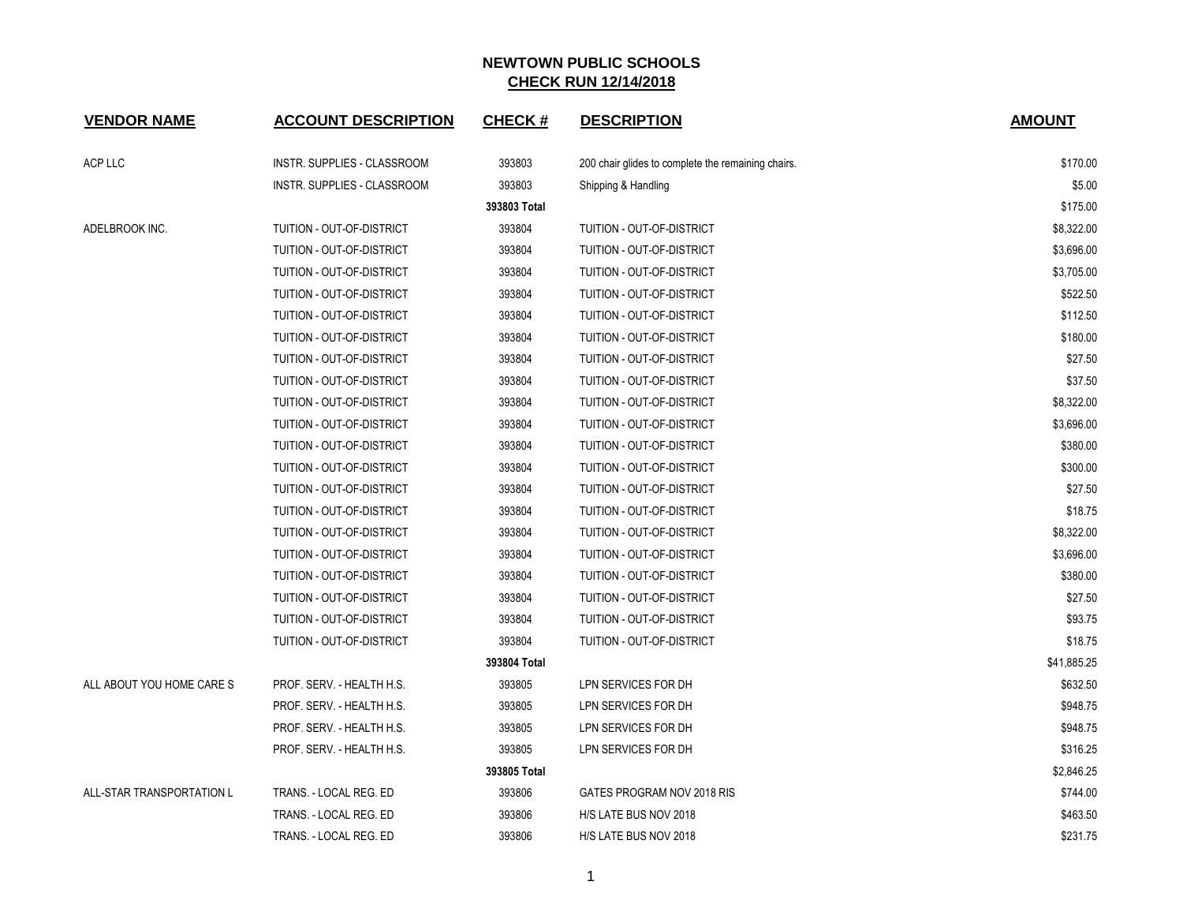| <b>VENDOR NAME</b>        | <b>ACCOUNT DESCRIPTION</b>         | <b>CHECK#</b> | <b>DESCRIPTION</b>                                 | <b>AMOUNT</b> |
|---------------------------|------------------------------------|---------------|----------------------------------------------------|---------------|
| ACP LLC                   | INSTR. SUPPLIES - CLASSROOM        | 393803        | 200 chair glides to complete the remaining chairs. | \$170.00      |
|                           | <b>INSTR. SUPPLIES - CLASSROOM</b> | 393803        | Shipping & Handling                                | \$5.00        |
|                           |                                    | 393803 Total  |                                                    | \$175.00      |
| ADELBROOK INC.            | TUITION - OUT-OF-DISTRICT          | 393804        | TUITION - OUT-OF-DISTRICT                          | \$8,322.00    |
|                           | TUITION - OUT-OF-DISTRICT          | 393804        | TUITION - OUT-OF-DISTRICT                          | \$3,696.00    |
|                           | TUITION - OUT-OF-DISTRICT          | 393804        | TUITION - OUT-OF-DISTRICT                          | \$3,705.00    |
|                           | TUITION - OUT-OF-DISTRICT          | 393804        | TUITION - OUT-OF-DISTRICT                          | \$522.50      |
|                           | TUITION - OUT-OF-DISTRICT          | 393804        | TUITION - OUT-OF-DISTRICT                          | \$112.50      |
|                           | TUITION - OUT-OF-DISTRICT          | 393804        | TUITION - OUT-OF-DISTRICT                          | \$180.00      |
|                           | TUITION - OUT-OF-DISTRICT          | 393804        | TUITION - OUT-OF-DISTRICT                          | \$27.50       |
|                           | TUITION - OUT-OF-DISTRICT          | 393804        | TUITION - OUT-OF-DISTRICT                          | \$37.50       |
|                           | TUITION - OUT-OF-DISTRICT          | 393804        | TUITION - OUT-OF-DISTRICT                          | \$8,322.00    |
|                           | TUITION - OUT-OF-DISTRICT          | 393804        | TUITION - OUT-OF-DISTRICT                          | \$3,696.00    |
|                           | TUITION - OUT-OF-DISTRICT          | 393804        | TUITION - OUT-OF-DISTRICT                          | \$380.00      |
|                           | TUITION - OUT-OF-DISTRICT          | 393804        | TUITION - OUT-OF-DISTRICT                          | \$300.00      |
|                           | TUITION - OUT-OF-DISTRICT          | 393804        | TUITION - OUT-OF-DISTRICT                          | \$27.50       |
|                           | TUITION - OUT-OF-DISTRICT          | 393804        | TUITION - OUT-OF-DISTRICT                          | \$18.75       |
|                           | TUITION - OUT-OF-DISTRICT          | 393804        | TUITION - OUT-OF-DISTRICT                          | \$8,322.00    |
|                           | TUITION - OUT-OF-DISTRICT          | 393804        | TUITION - OUT-OF-DISTRICT                          | \$3,696.00    |
|                           | TUITION - OUT-OF-DISTRICT          | 393804        | TUITION - OUT-OF-DISTRICT                          | \$380.00      |
|                           | TUITION - OUT-OF-DISTRICT          | 393804        | TUITION - OUT-OF-DISTRICT                          | \$27.50       |
|                           | TUITION - OUT-OF-DISTRICT          | 393804        | TUITION - OUT-OF-DISTRICT                          | \$93.75       |
|                           | TUITION - OUT-OF-DISTRICT          | 393804        | TUITION - OUT-OF-DISTRICT                          | \$18.75       |
|                           |                                    | 393804 Total  |                                                    | \$41,885.25   |
| ALL ABOUT YOU HOME CARE S | PROF. SERV. - HEALTH H.S.          | 393805        | LPN SERVICES FOR DH                                | \$632.50      |
|                           | PROF. SERV. - HEALTH H.S.          | 393805        | LPN SERVICES FOR DH                                | \$948.75      |
|                           | PROF. SERV. - HEALTH H.S.          | 393805        | LPN SERVICES FOR DH                                | \$948.75      |
|                           | PROF. SERV. - HEALTH H.S.          | 393805        | LPN SERVICES FOR DH                                | \$316.25      |
|                           |                                    | 393805 Total  |                                                    | \$2,846.25    |
| ALL-STAR TRANSPORTATION L | TRANS. - LOCAL REG. ED             | 393806        | GATES PROGRAM NOV 2018 RIS                         | \$744.00      |
|                           | TRANS. - LOCAL REG. ED             | 393806        | H/S LATE BUS NOV 2018                              | \$463.50      |
|                           | TRANS. - LOCAL REG. ED             | 393806        | H/S LATE BUS NOV 2018                              | \$231.75      |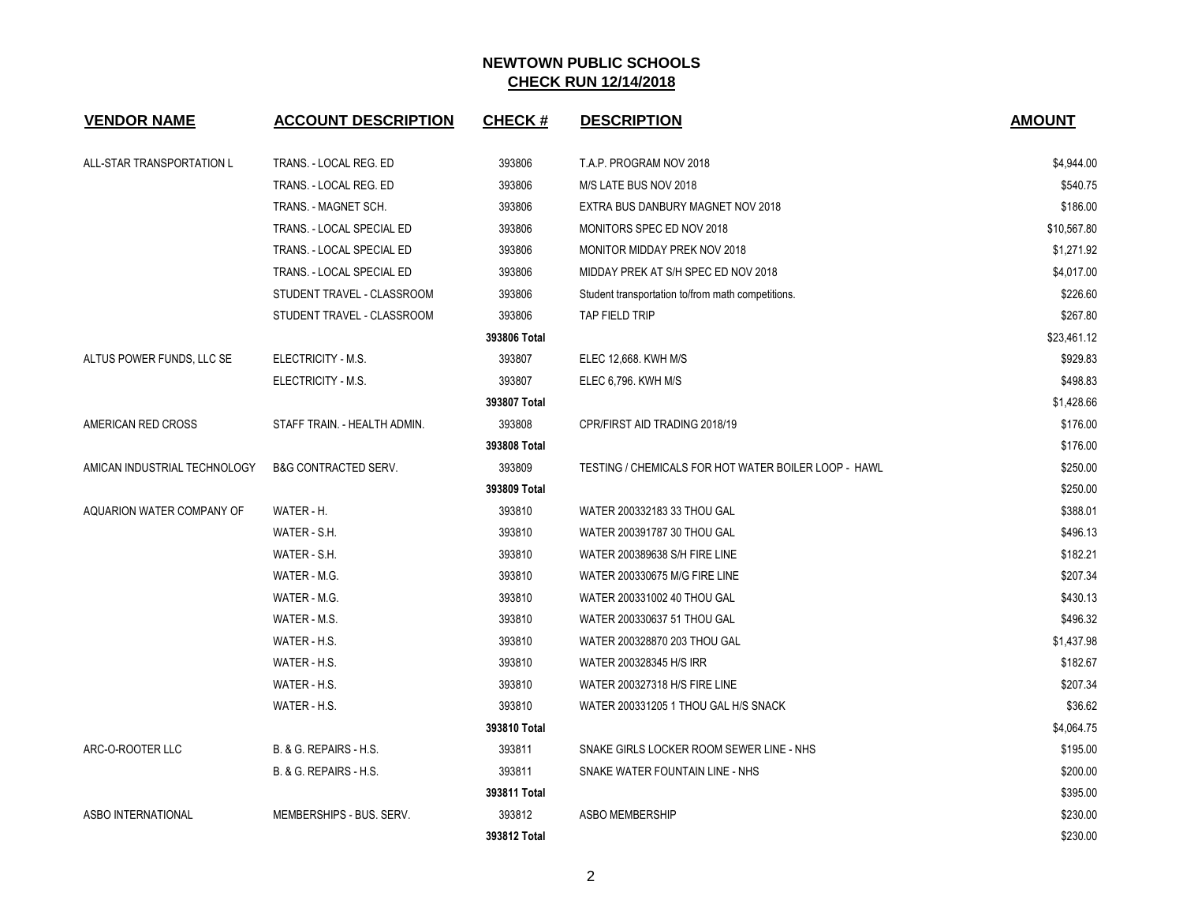| <b>VENDOR NAME</b>           | <b>ACCOUNT DESCRIPTION</b>      | <b>CHECK#</b> | <b>DESCRIPTION</b>                                   | <b>AMOUNT</b> |
|------------------------------|---------------------------------|---------------|------------------------------------------------------|---------------|
| ALL-STAR TRANSPORTATION L    | TRANS. - LOCAL REG. ED          | 393806        | T.A.P. PROGRAM NOV 2018                              | \$4,944.00    |
|                              | TRANS. - LOCAL REG. ED          | 393806        | M/S LATE BUS NOV 2018                                | \$540.75      |
|                              | TRANS. - MAGNET SCH.            | 393806        | EXTRA BUS DANBURY MAGNET NOV 2018                    | \$186.00      |
|                              | TRANS. - LOCAL SPECIAL ED       | 393806        | MONITORS SPEC ED NOV 2018                            | \$10,567.80   |
|                              | TRANS. - LOCAL SPECIAL ED       | 393806        | MONITOR MIDDAY PREK NOV 2018                         | \$1,271.92    |
|                              | TRANS. - LOCAL SPECIAL ED       | 393806        | MIDDAY PREK AT S/H SPEC ED NOV 2018                  | \$4,017.00    |
|                              | STUDENT TRAVEL - CLASSROOM      | 393806        | Student transportation to/from math competitions.    | \$226.60      |
|                              | STUDENT TRAVEL - CLASSROOM      | 393806        | <b>TAP FIELD TRIP</b>                                | \$267.80      |
|                              |                                 | 393806 Total  |                                                      | \$23,461.12   |
| ALTUS POWER FUNDS, LLC SE    | ELECTRICITY - M.S.              | 393807        | ELEC 12,668. KWH M/S                                 | \$929.83      |
|                              | ELECTRICITY - M.S.              | 393807        | ELEC 6,796. KWH M/S                                  | \$498.83      |
|                              |                                 | 393807 Total  |                                                      | \$1,428.66    |
| AMERICAN RED CROSS           | STAFF TRAIN. - HEALTH ADMIN.    | 393808        | CPR/FIRST AID TRADING 2018/19                        | \$176.00      |
|                              |                                 | 393808 Total  |                                                      | \$176.00      |
| AMICAN INDUSTRIAL TECHNOLOGY | <b>B&amp;G CONTRACTED SERV.</b> | 393809        | TESTING / CHEMICALS FOR HOT WATER BOILER LOOP - HAWL | \$250.00      |
|                              |                                 | 393809 Total  |                                                      | \$250.00      |
| AQUARION WATER COMPANY OF    | WATER - H.                      | 393810        | WATER 200332183 33 THOU GAL                          | \$388.01      |
|                              | WATER - S.H.                    | 393810        | WATER 200391787 30 THOU GAL                          | \$496.13      |
|                              | WATER - S.H.                    | 393810        | WATER 200389638 S/H FIRE LINE                        | \$182.21      |
|                              | WATER - M.G.                    | 393810        | WATER 200330675 M/G FIRE LINE                        | \$207.34      |
|                              | WATER - M.G.                    | 393810        | WATER 200331002 40 THOU GAL                          | \$430.13      |
|                              | WATER - M.S.                    | 393810        | WATER 200330637 51 THOU GAL                          | \$496.32      |
|                              | WATER - H.S.                    | 393810        | WATER 200328870 203 THOU GAL                         | \$1,437.98    |
|                              | WATER - H.S.                    | 393810        | WATER 200328345 H/S IRR                              | \$182.67      |
|                              | WATER - H.S.                    | 393810        | WATER 200327318 H/S FIRE LINE                        | \$207.34      |
|                              | WATER - H.S.                    | 393810        | WATER 200331205 1 THOU GAL H/S SNACK                 | \$36.62       |
|                              |                                 | 393810 Total  |                                                      | \$4,064.75    |
| ARC-O-ROOTER LLC             | B. & G. REPAIRS - H.S.          | 393811        | SNAKE GIRLS LOCKER ROOM SEWER LINE - NHS             | \$195.00      |
|                              | B. & G. REPAIRS - H.S.          | 393811        | SNAKE WATER FOUNTAIN LINE - NHS                      | \$200.00      |
|                              |                                 | 393811 Total  |                                                      | \$395.00      |
| ASBO INTERNATIONAL           | MEMBERSHIPS - BUS, SERV.        | 393812        | ASBO MEMBERSHIP                                      | \$230.00      |
|                              |                                 | 393812 Total  |                                                      | \$230.00      |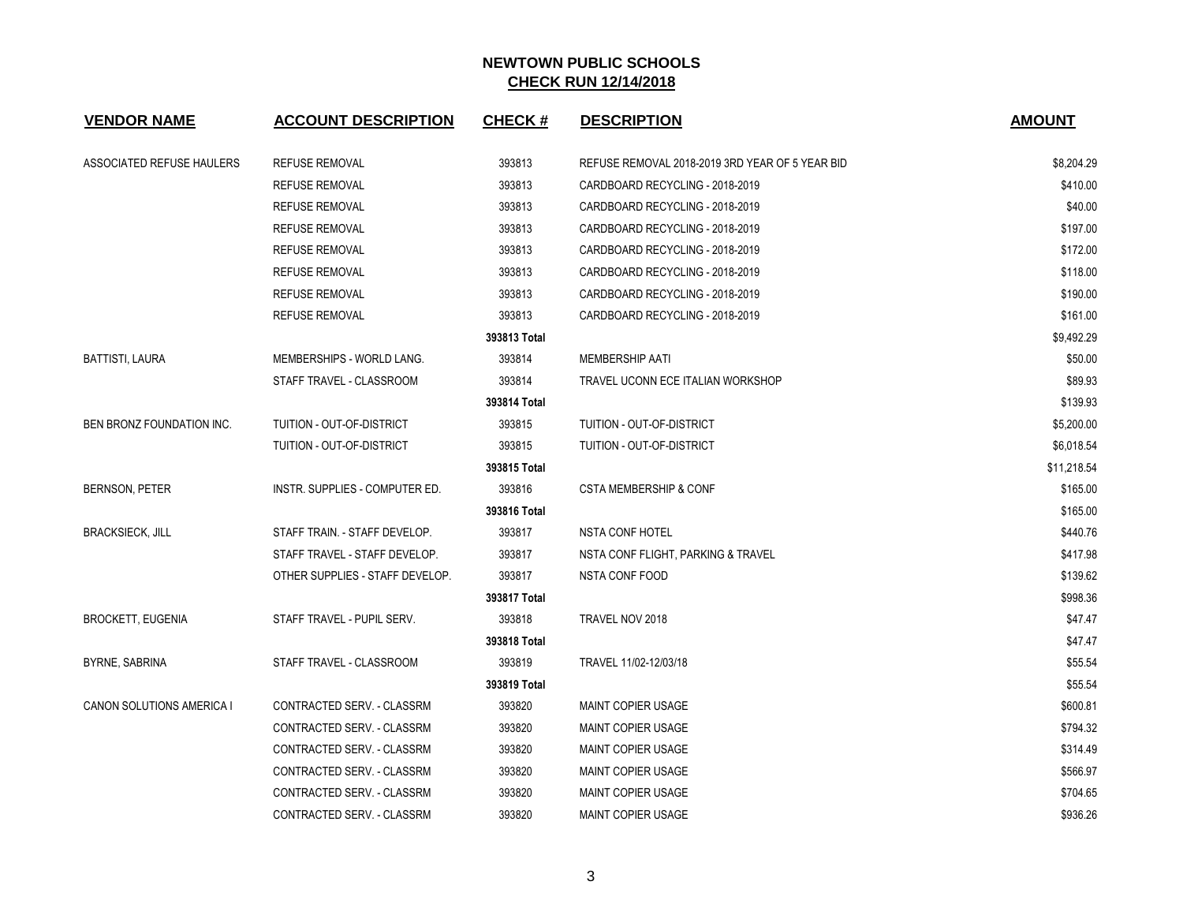| <b>VENDOR NAME</b>               | <b>ACCOUNT DESCRIPTION</b>      | <b>CHECK#</b> | <b>DESCRIPTION</b>                              | <b>AMOUNT</b> |
|----------------------------------|---------------------------------|---------------|-------------------------------------------------|---------------|
| ASSOCIATED REFUSE HAULERS        | <b>REFUSE REMOVAL</b>           | 393813        | REFUSE REMOVAL 2018-2019 3RD YEAR OF 5 YEAR BID | \$8,204.29    |
|                                  | <b>REFUSE REMOVAL</b>           | 393813        | CARDBOARD RECYCLING - 2018-2019                 | \$410.00      |
|                                  | <b>REFUSE REMOVAL</b>           | 393813        | CARDBOARD RECYCLING - 2018-2019                 | \$40.00       |
|                                  | <b>REFUSE REMOVAL</b>           | 393813        | CARDBOARD RECYCLING - 2018-2019                 | \$197.00      |
|                                  | <b>REFUSE REMOVAL</b>           | 393813        | CARDBOARD RECYCLING - 2018-2019                 | \$172.00      |
|                                  | <b>REFUSE REMOVAL</b>           | 393813        | CARDBOARD RECYCLING - 2018-2019                 | \$118.00      |
|                                  | <b>REFUSE REMOVAL</b>           | 393813        | CARDBOARD RECYCLING - 2018-2019                 | \$190.00      |
|                                  | <b>REFUSE REMOVAL</b>           | 393813        | CARDBOARD RECYCLING - 2018-2019                 | \$161.00      |
|                                  |                                 | 393813 Total  |                                                 | \$9,492.29    |
| <b>BATTISTI, LAURA</b>           | MEMBERSHIPS - WORLD LANG.       | 393814        | <b>MEMBERSHIP AATI</b>                          | \$50.00       |
|                                  | STAFF TRAVEL - CLASSROOM        | 393814        | TRAVEL UCONN ECE ITALIAN WORKSHOP               | \$89.93       |
|                                  |                                 | 393814 Total  |                                                 | \$139.93      |
| BEN BRONZ FOUNDATION INC.        | TUITION - OUT-OF-DISTRICT       | 393815        | TUITION - OUT-OF-DISTRICT                       | \$5,200.00    |
|                                  | TUITION - OUT-OF-DISTRICT       | 393815        | TUITION - OUT-OF-DISTRICT                       | \$6,018.54    |
|                                  |                                 | 393815 Total  |                                                 | \$11,218.54   |
| <b>BERNSON, PETER</b>            | INSTR. SUPPLIES - COMPUTER ED.  | 393816        | <b>CSTA MEMBERSHIP &amp; CONF</b>               | \$165.00      |
|                                  |                                 | 393816 Total  |                                                 | \$165.00      |
| <b>BRACKSIECK, JILL</b>          | STAFF TRAIN. - STAFF DEVELOP.   | 393817        | <b>NSTA CONF HOTEL</b>                          | \$440.76      |
|                                  | STAFF TRAVEL - STAFF DEVELOP.   | 393817        | NSTA CONF FLIGHT, PARKING & TRAVEL              | \$417.98      |
|                                  | OTHER SUPPLIES - STAFF DEVELOP. | 393817        | NSTA CONF FOOD                                  | \$139.62      |
|                                  |                                 | 393817 Total  |                                                 | \$998.36      |
| <b>BROCKETT, EUGENIA</b>         | STAFF TRAVEL - PUPIL SERV.      | 393818        | TRAVEL NOV 2018                                 | \$47.47       |
|                                  |                                 | 393818 Total  |                                                 | \$47.47       |
| BYRNE, SABRINA                   | STAFF TRAVEL - CLASSROOM        | 393819        | TRAVEL 11/02-12/03/18                           | \$55.54       |
|                                  |                                 | 393819 Total  |                                                 | \$55.54       |
| <b>CANON SOLUTIONS AMERICA I</b> | CONTRACTED SERV. - CLASSRM      | 393820        | <b>MAINT COPIER USAGE</b>                       | \$600.81      |
|                                  | CONTRACTED SERV. - CLASSRM      | 393820        | <b>MAINT COPIER USAGE</b>                       | \$794.32      |
|                                  | CONTRACTED SERV. - CLASSRM      | 393820        | <b>MAINT COPIER USAGE</b>                       | \$314.49      |
|                                  | CONTRACTED SERV. - CLASSRM      | 393820        | <b>MAINT COPIER USAGE</b>                       | \$566.97      |
|                                  | CONTRACTED SERV. - CLASSRM      | 393820        | <b>MAINT COPIER USAGE</b>                       | \$704.65      |
|                                  | CONTRACTED SERV. - CLASSRM      | 393820        | MAINT COPIER USAGE                              | \$936.26      |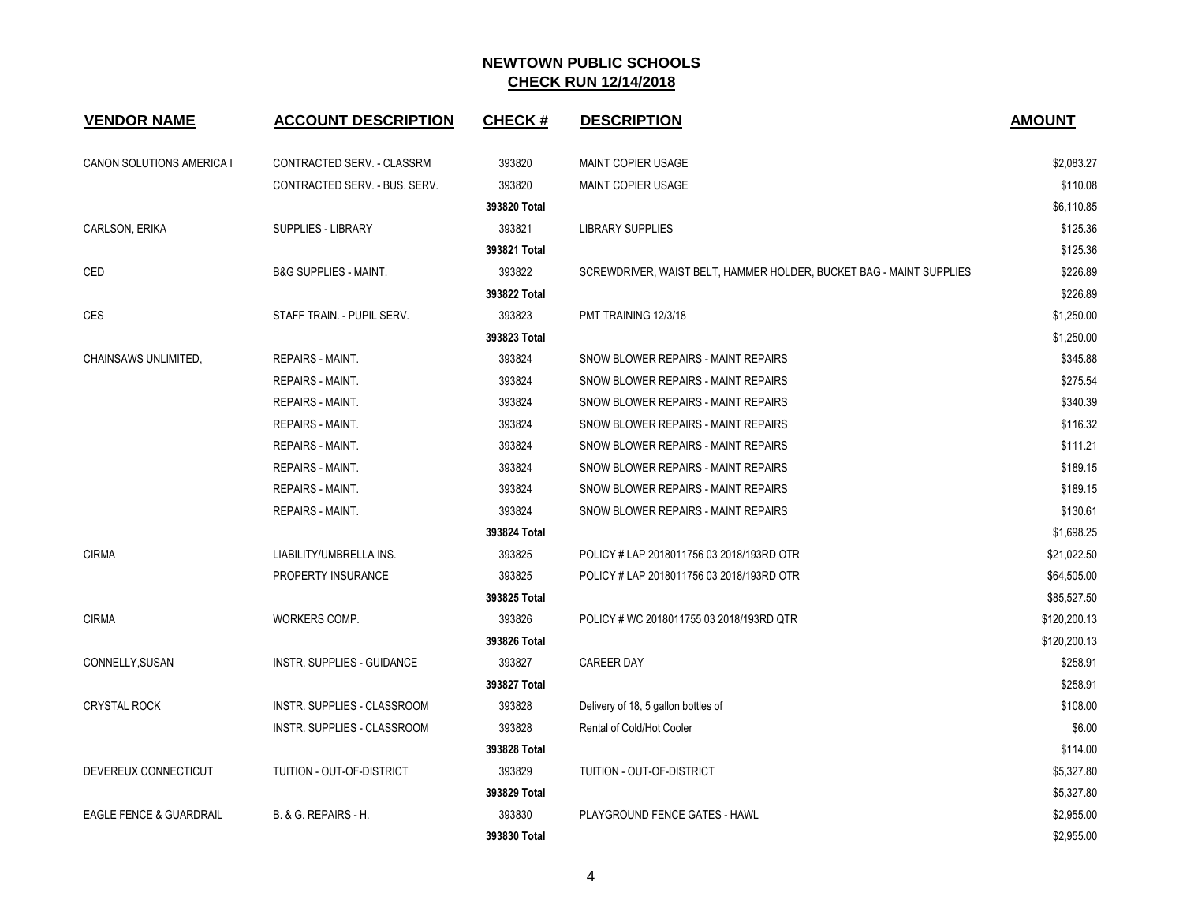| <b>VENDOR NAME</b>        | <b>ACCOUNT DESCRIPTION</b>       | <b>CHECK#</b> | <b>DESCRIPTION</b>                                                  | <b>AMOUNT</b> |
|---------------------------|----------------------------------|---------------|---------------------------------------------------------------------|---------------|
| CANON SOLUTIONS AMERICA I | CONTRACTED SERV. - CLASSRM       | 393820        | <b>MAINT COPIER USAGE</b>                                           | \$2,083.27    |
|                           | CONTRACTED SERV. - BUS. SERV.    | 393820        | <b>MAINT COPIER USAGE</b>                                           | \$110.08      |
|                           |                                  | 393820 Total  |                                                                     | \$6,110.85    |
| <b>CARLSON, ERIKA</b>     | <b>SUPPLIES - LIBRARY</b>        | 393821        | <b>LIBRARY SUPPLIES</b>                                             | \$125.36      |
|                           |                                  | 393821 Total  |                                                                     | \$125.36      |
| CED                       | <b>B&amp;G SUPPLIES - MAINT.</b> | 393822        | SCREWDRIVER, WAIST BELT, HAMMER HOLDER, BUCKET BAG - MAINT SUPPLIES | \$226.89      |
|                           |                                  | 393822 Total  |                                                                     | \$226.89      |
| CES                       | STAFF TRAIN. - PUPIL SERV.       | 393823        | PMT TRAINING 12/3/18                                                | \$1,250.00    |
|                           |                                  | 393823 Total  |                                                                     | \$1,250.00    |
| CHAINSAWS UNLIMITED.      | <b>REPAIRS - MAINT.</b>          | 393824        | SNOW BLOWER REPAIRS - MAINT REPAIRS                                 | \$345.88      |
|                           | <b>REPAIRS - MAINT.</b>          | 393824        | SNOW BLOWER REPAIRS - MAINT REPAIRS                                 | \$275.54      |
|                           | <b>REPAIRS - MAINT.</b>          | 393824        | SNOW BLOWER REPAIRS - MAINT REPAIRS                                 | \$340.39      |
|                           | <b>REPAIRS - MAINT.</b>          | 393824        | SNOW BLOWER REPAIRS - MAINT REPAIRS                                 | \$116.32      |
|                           | <b>REPAIRS - MAINT.</b>          | 393824        | SNOW BLOWER REPAIRS - MAINT REPAIRS                                 | \$111.21      |
|                           | <b>REPAIRS - MAINT.</b>          | 393824        | SNOW BLOWER REPAIRS - MAINT REPAIRS                                 | \$189.15      |
|                           | <b>REPAIRS - MAINT.</b>          | 393824        | SNOW BLOWER REPAIRS - MAINT REPAIRS                                 | \$189.15      |
|                           | <b>REPAIRS - MAINT.</b>          | 393824        | SNOW BLOWER REPAIRS - MAINT REPAIRS                                 | \$130.61      |
|                           |                                  | 393824 Total  |                                                                     | \$1,698.25    |
| <b>CIRMA</b>              | LIABILITY/UMBRELLA INS.          | 393825        | POLICY # LAP 2018011756 03 2018/193RD OTR                           | \$21,022.50   |
|                           | PROPERTY INSURANCE               | 393825        | POLICY # LAP 2018011756 03 2018/193RD OTR                           | \$64,505.00   |
|                           |                                  | 393825 Total  |                                                                     | \$85,527.50   |
| <b>CIRMA</b>              | WORKERS COMP.                    | 393826        | POLICY # WC 2018011755 03 2018/193RD QTR                            | \$120,200.13  |
|                           |                                  | 393826 Total  |                                                                     | \$120,200.13  |
| CONNELLY, SUSAN           | INSTR. SUPPLIES - GUIDANCE       | 393827        | <b>CAREER DAY</b>                                                   | \$258.91      |
|                           |                                  | 393827 Total  |                                                                     | \$258.91      |
| <b>CRYSTAL ROCK</b>       | INSTR. SUPPLIES - CLASSROOM      | 393828        | Delivery of 18, 5 gallon bottles of                                 | \$108.00      |
|                           | INSTR. SUPPLIES - CLASSROOM      | 393828        | Rental of Cold/Hot Cooler                                           | \$6.00        |
|                           |                                  | 393828 Total  |                                                                     | \$114.00      |
| DEVEREUX CONNECTICUT      | TUITION - OUT-OF-DISTRICT        | 393829        | TUITION - OUT-OF-DISTRICT                                           | \$5,327.80    |
|                           |                                  | 393829 Total  |                                                                     | \$5,327.80    |
| EAGLE FENCE & GUARDRAIL   | <b>B. &amp; G. REPAIRS - H.</b>  | 393830        | <b>PLAYGROUND FENCE GATES - HAWL</b>                                | \$2,955.00    |
|                           |                                  | 393830 Total  |                                                                     | \$2,955.00    |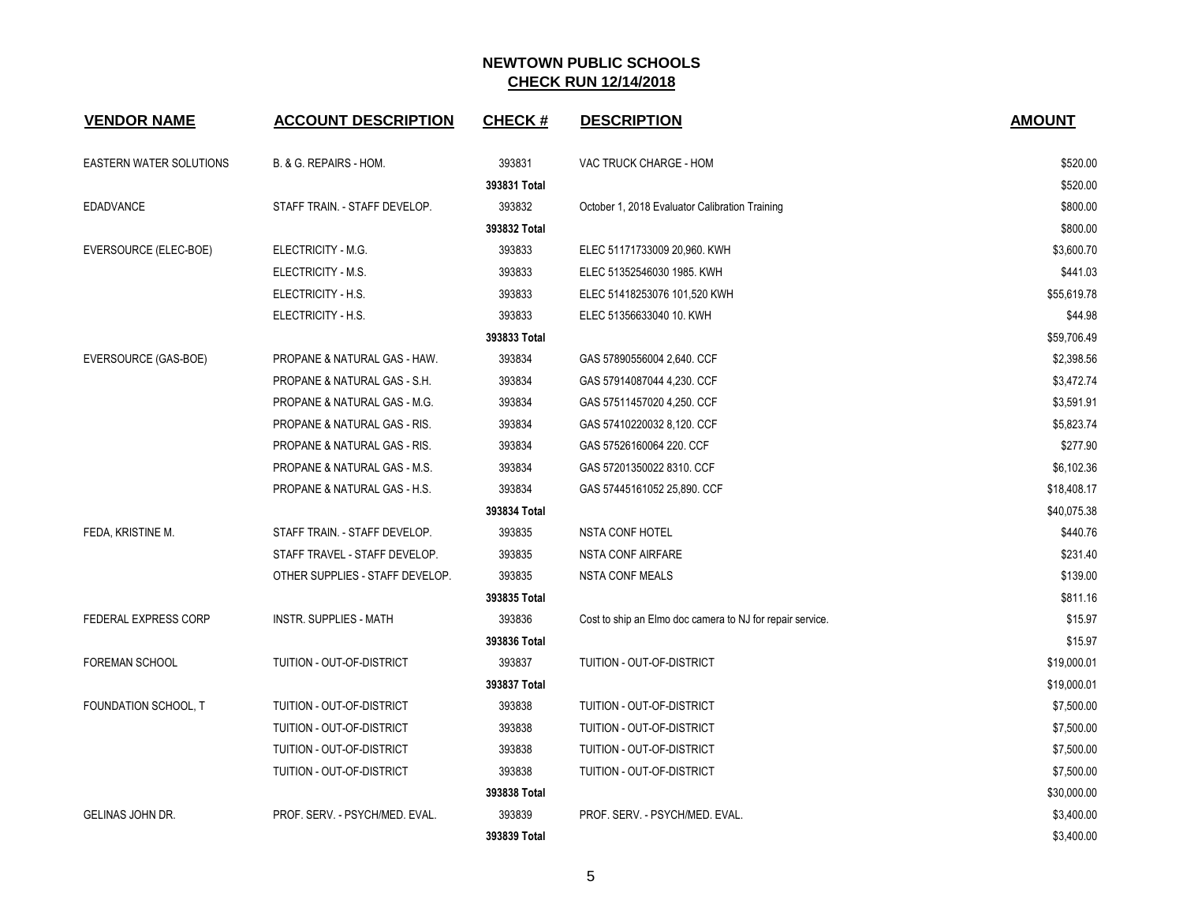| <b>VENDOR NAME</b>          | <b>ACCOUNT DESCRIPTION</b>      | <b>CHECK#</b> | <b>DESCRIPTION</b>                                        | <b>AMOUNT</b> |
|-----------------------------|---------------------------------|---------------|-----------------------------------------------------------|---------------|
| EASTERN WATER SOLUTIONS     | B. & G. REPAIRS - HOM.          | 393831        | VAC TRUCK CHARGE - HOM                                    | \$520.00      |
|                             |                                 | 393831 Total  |                                                           | \$520.00      |
| <b>EDADVANCE</b>            | STAFF TRAIN. - STAFF DEVELOP.   | 393832        | October 1, 2018 Evaluator Calibration Training            | \$800.00      |
|                             |                                 | 393832 Total  |                                                           | \$800.00      |
| EVERSOURCE (ELEC-BOE)       | ELECTRICITY - M.G.              | 393833        | ELEC 51171733009 20,960. KWH                              | \$3,600.70    |
|                             | ELECTRICITY - M.S.              | 393833        | ELEC 51352546030 1985. KWH                                | \$441.03      |
|                             | ELECTRICITY - H.S.              | 393833        | ELEC 51418253076 101,520 KWH                              | \$55,619.78   |
|                             | ELECTRICITY - H.S.              | 393833        | ELEC 51356633040 10. KWH                                  | \$44.98       |
|                             |                                 | 393833 Total  |                                                           | \$59,706.49   |
| EVERSOURCE (GAS-BOE)        | PROPANE & NATURAL GAS - HAW.    | 393834        | GAS 57890556004 2,640. CCF                                | \$2,398.56    |
|                             | PROPANE & NATURAL GAS - S.H.    | 393834        | GAS 57914087044 4,230. CCF                                | \$3,472.74    |
|                             | PROPANE & NATURAL GAS - M.G.    | 393834        | GAS 57511457020 4,250. CCF                                | \$3,591.91    |
|                             | PROPANE & NATURAL GAS - RIS.    | 393834        | GAS 57410220032 8,120. CCF                                | \$5,823.74    |
|                             | PROPANE & NATURAL GAS - RIS.    | 393834        | GAS 57526160064 220. CCF                                  | \$277.90      |
|                             | PROPANE & NATURAL GAS - M.S.    | 393834        | GAS 57201350022 8310. CCF                                 | \$6,102.36    |
|                             | PROPANE & NATURAL GAS - H.S.    | 393834        | GAS 57445161052 25,890. CCF                               | \$18,408.17   |
|                             |                                 | 393834 Total  |                                                           | \$40,075.38   |
| FEDA, KRISTINE M.           | STAFF TRAIN. - STAFF DEVELOP.   | 393835        | <b>NSTA CONF HOTEL</b>                                    | \$440.76      |
|                             | STAFF TRAVEL - STAFF DEVELOP.   | 393835        | <b>NSTA CONF AIRFARE</b>                                  | \$231.40      |
|                             | OTHER SUPPLIES - STAFF DEVELOP. | 393835        | <b>NSTA CONF MEALS</b>                                    | \$139.00      |
|                             |                                 | 393835 Total  |                                                           | \$811.16      |
| <b>FEDERAL EXPRESS CORP</b> | <b>INSTR. SUPPLIES - MATH</b>   | 393836        | Cost to ship an Elmo doc camera to NJ for repair service. | \$15.97       |
|                             |                                 | 393836 Total  |                                                           | \$15.97       |
| FOREMAN SCHOOL              | TUITION - OUT-OF-DISTRICT       | 393837        | TUITION - OUT-OF-DISTRICT                                 | \$19,000.01   |
|                             |                                 | 393837 Total  |                                                           | \$19,000.01   |
| FOUNDATION SCHOOL, T        | TUITION - OUT-OF-DISTRICT       | 393838        | TUITION - OUT-OF-DISTRICT                                 | \$7,500.00    |
|                             | TUITION - OUT-OF-DISTRICT       | 393838        | TUITION - OUT-OF-DISTRICT                                 | \$7,500.00    |
|                             | TUITION - OUT-OF-DISTRICT       | 393838        | TUITION - OUT-OF-DISTRICT                                 | \$7,500.00    |
|                             | TUITION - OUT-OF-DISTRICT       | 393838        | TUITION - OUT-OF-DISTRICT                                 | \$7,500.00    |
|                             |                                 | 393838 Total  |                                                           | \$30,000.00   |
| GELINAS JOHN DR.            | PROF. SERV. - PSYCH/MED. EVAL.  | 393839        | PROF. SERV. - PSYCH/MED. EVAL.                            | \$3,400.00    |
|                             |                                 | 393839 Total  |                                                           | \$3,400.00    |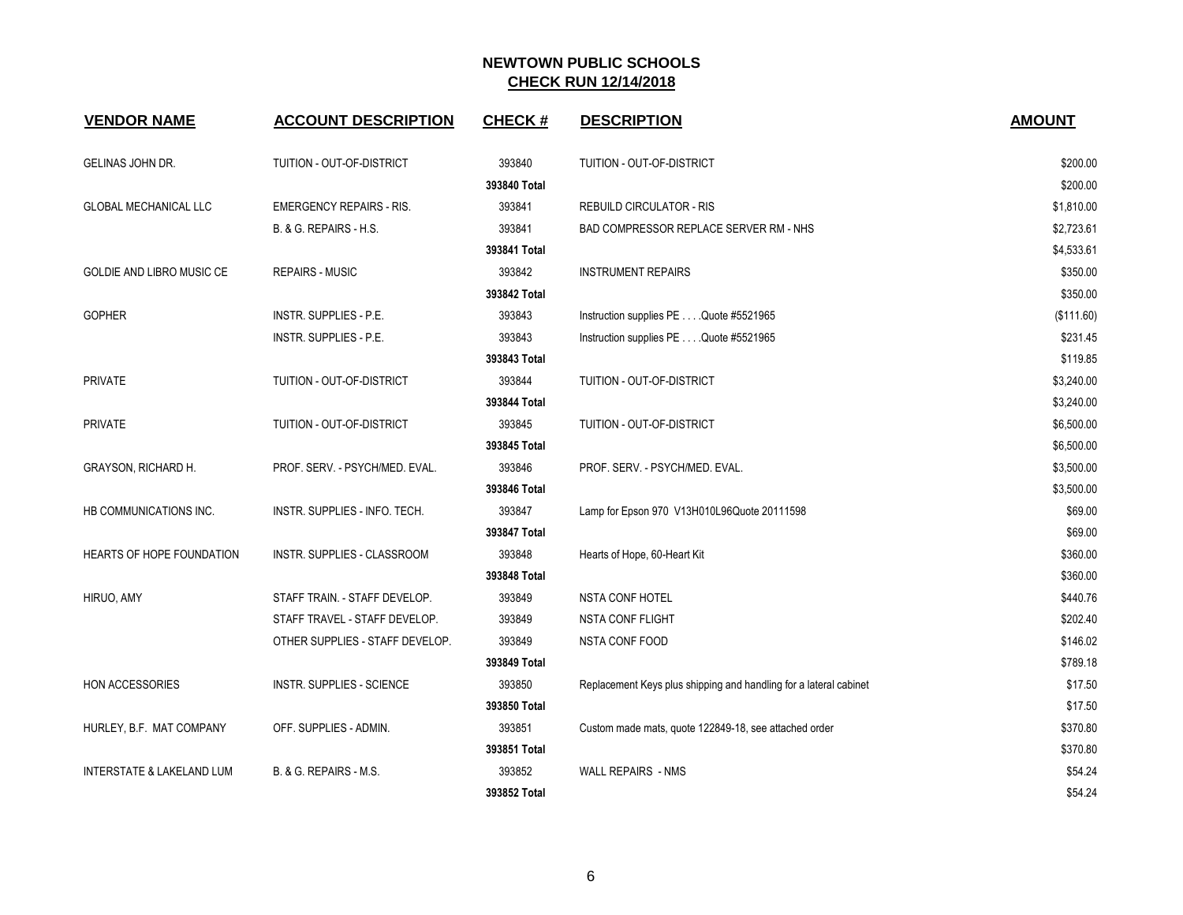| <b>VENDOR NAME</b>           | <b>ACCOUNT DESCRIPTION</b>       | <b>CHECK#</b> | <b>DESCRIPTION</b>                                                | <b>AMOUNT</b> |
|------------------------------|----------------------------------|---------------|-------------------------------------------------------------------|---------------|
| <b>GELINAS JOHN DR.</b>      | <b>TUITION - OUT-OF-DISTRICT</b> | 393840        | TUITION - OUT-OF-DISTRICT                                         | \$200.00      |
|                              |                                  | 393840 Total  |                                                                   | \$200.00      |
| <b>GLOBAL MECHANICAL LLC</b> | <b>EMERGENCY REPAIRS - RIS.</b>  | 393841        | <b>REBUILD CIRCULATOR - RIS</b>                                   | \$1,810.00    |
|                              | B. & G. REPAIRS - H.S.           | 393841        | BAD COMPRESSOR REPLACE SERVER RM - NHS                            | \$2,723.61    |
|                              |                                  | 393841 Total  |                                                                   | \$4,533.61    |
| GOLDIE AND LIBRO MUSIC CE    | <b>REPAIRS - MUSIC</b>           | 393842        | <b>INSTRUMENT REPAIRS</b>                                         | \$350.00      |
|                              |                                  | 393842 Total  |                                                                   | \$350.00      |
| <b>GOPHER</b>                | INSTR. SUPPLIES - P.E.           | 393843        | Instruction supplies PE Quote #5521965                            | (\$111.60)    |
|                              | INSTR. SUPPLIES - P.E.           | 393843        | Instruction supplies PE Quote #5521965                            | \$231.45      |
|                              |                                  | 393843 Total  |                                                                   | \$119.85      |
| <b>PRIVATE</b>               | TUITION - OUT-OF-DISTRICT        | 393844        | TUITION - OUT-OF-DISTRICT                                         | \$3,240.00    |
|                              |                                  | 393844 Total  |                                                                   | \$3,240.00    |
| PRIVATE                      | TUITION - OUT-OF-DISTRICT        | 393845        | TUITION - OUT-OF-DISTRICT                                         | \$6,500.00    |
|                              |                                  | 393845 Total  |                                                                   | \$6,500.00    |
| GRAYSON, RICHARD H.          | PROF. SERV. - PSYCH/MED. EVAL.   | 393846        | PROF. SERV. - PSYCH/MED. EVAL.                                    | \$3,500.00    |
|                              |                                  | 393846 Total  |                                                                   | \$3,500.00    |
| HB COMMUNICATIONS INC.       | INSTR. SUPPLIES - INFO. TECH.    | 393847        | Lamp for Epson 970 V13H010L96Quote 20111598                       | \$69.00       |
|                              |                                  | 393847 Total  |                                                                   | \$69.00       |
| HEARTS OF HOPE FOUNDATION    | INSTR. SUPPLIES - CLASSROOM      | 393848        | Hearts of Hope, 60-Heart Kit                                      | \$360.00      |
|                              |                                  | 393848 Total  |                                                                   | \$360.00      |
| HIRUO, AMY                   | STAFF TRAIN. - STAFF DEVELOP.    | 393849        | <b>NSTA CONF HOTEL</b>                                            | \$440.76      |
|                              | STAFF TRAVEL - STAFF DEVELOP.    | 393849        | <b>NSTA CONF FLIGHT</b>                                           | \$202.40      |
|                              | OTHER SUPPLIES - STAFF DEVELOP.  | 393849        | NSTA CONF FOOD                                                    | \$146.02      |
|                              |                                  | 393849 Total  |                                                                   | \$789.18      |
| <b>HON ACCESSORIES</b>       | INSTR. SUPPLIES - SCIENCE        | 393850        | Replacement Keys plus shipping and handling for a lateral cabinet | \$17.50       |
|                              |                                  | 393850 Total  |                                                                   | \$17.50       |
| HURLEY, B.F. MAT COMPANY     | OFF. SUPPLIES - ADMIN.           | 393851        | Custom made mats, quote 122849-18, see attached order             | \$370.80      |
|                              |                                  | 393851 Total  |                                                                   | \$370.80      |
| INTERSTATE & LAKELAND LUM    | B. & G. REPAIRS - M.S.           | 393852        | <b>WALL REPAIRS - NMS</b>                                         | \$54.24       |
|                              |                                  | 393852 Total  |                                                                   | \$54.24       |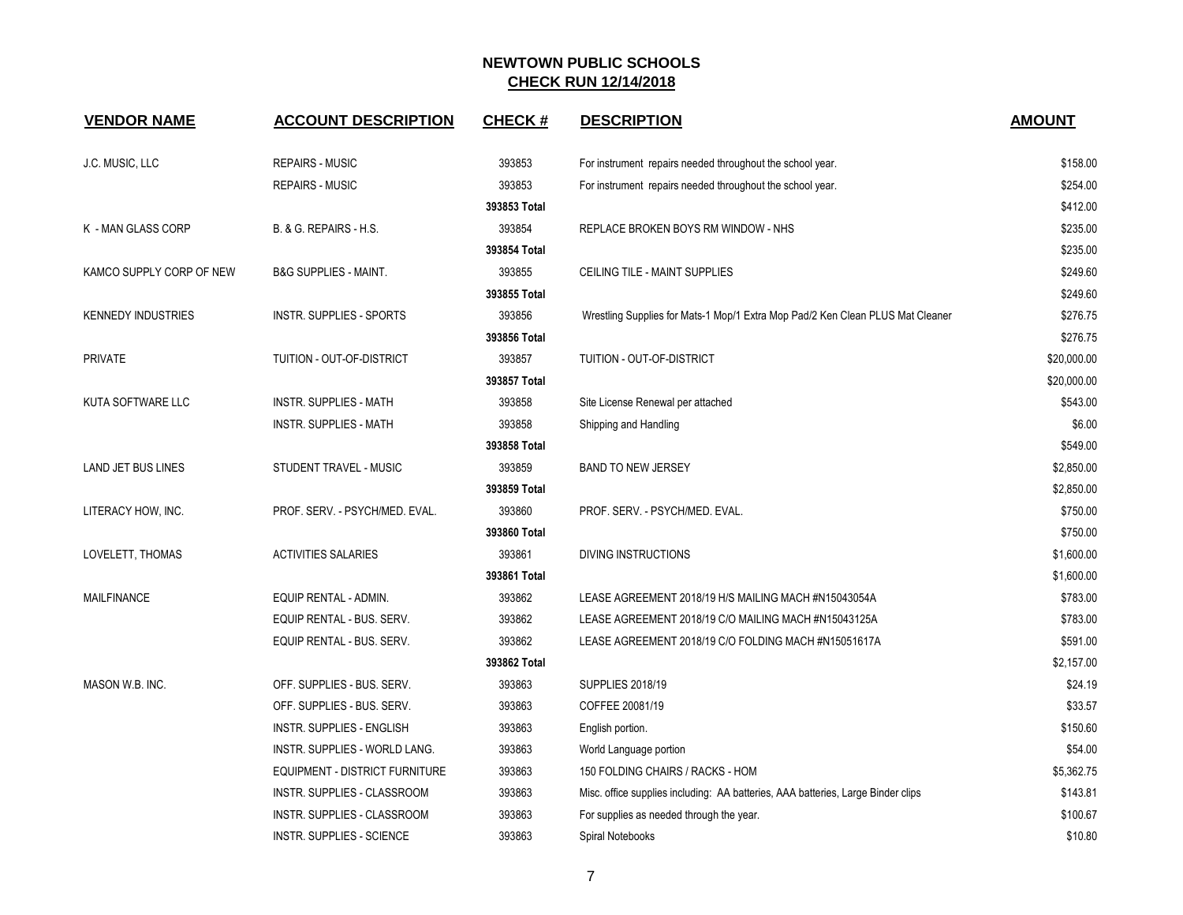| <b>VENDOR NAME</b>        | <b>ACCOUNT DESCRIPTION</b>            | <b>CHECK#</b> | <b>DESCRIPTION</b>                                                               | <b>AMOUNT</b> |
|---------------------------|---------------------------------------|---------------|----------------------------------------------------------------------------------|---------------|
| J.C. MUSIC, LLC           | <b>REPAIRS - MUSIC</b>                | 393853        | For instrument repairs needed throughout the school year.                        | \$158.00      |
|                           | <b>REPAIRS - MUSIC</b>                | 393853        | For instrument repairs needed throughout the school year.                        | \$254.00      |
|                           |                                       | 393853 Total  |                                                                                  | \$412.00      |
| K - MAN GLASS CORP        | B. & G. REPAIRS - H.S.                | 393854        | REPLACE BROKEN BOYS RM WINDOW - NHS                                              | \$235.00      |
|                           |                                       | 393854 Total  |                                                                                  | \$235.00      |
| KAMCO SUPPLY CORP OF NEW  | <b>B&amp;G SUPPLIES - MAINT.</b>      | 393855        | CEILING TILE - MAINT SUPPLIES                                                    | \$249.60      |
|                           |                                       | 393855 Total  |                                                                                  | \$249.60      |
| <b>KENNEDY INDUSTRIES</b> | INSTR. SUPPLIES - SPORTS              | 393856        | Wrestling Supplies for Mats-1 Mop/1 Extra Mop Pad/2 Ken Clean PLUS Mat Cleaner   | \$276.75      |
|                           |                                       | 393856 Total  |                                                                                  | \$276.75      |
| <b>PRIVATE</b>            | TUITION - OUT-OF-DISTRICT             | 393857        | TUITION - OUT-OF-DISTRICT                                                        | \$20,000.00   |
|                           |                                       | 393857 Total  |                                                                                  | \$20,000.00   |
| KUTA SOFTWARE LLC         | <b>INSTR. SUPPLIES - MATH</b>         | 393858        | Site License Renewal per attached                                                | \$543.00      |
|                           | <b>INSTR. SUPPLIES - MATH</b>         | 393858        | Shipping and Handling                                                            | \$6.00        |
|                           |                                       | 393858 Total  |                                                                                  | \$549.00      |
| <b>LAND JET BUS LINES</b> | STUDENT TRAVEL - MUSIC                | 393859        | <b>BAND TO NEW JERSEY</b>                                                        | \$2,850.00    |
|                           |                                       | 393859 Total  |                                                                                  | \$2,850.00    |
| LITERACY HOW, INC.        | PROF. SERV. - PSYCH/MED. EVAL.        | 393860        | PROF. SERV. - PSYCH/MED. EVAL.                                                   | \$750.00      |
|                           |                                       | 393860 Total  |                                                                                  | \$750.00      |
| LOVELETT, THOMAS          | <b>ACTIVITIES SALARIES</b>            | 393861        | DIVING INSTRUCTIONS                                                              | \$1,600.00    |
|                           |                                       | 393861 Total  |                                                                                  | \$1,600.00    |
| <b>MAILFINANCE</b>        | EQUIP RENTAL - ADMIN.                 | 393862        | LEASE AGREEMENT 2018/19 H/S MAILING MACH #N15043054A                             | \$783.00      |
|                           | EQUIP RENTAL - BUS. SERV.             | 393862        | LEASE AGREEMENT 2018/19 C/O MAILING MACH #N15043125A                             | \$783.00      |
|                           | EQUIP RENTAL - BUS. SERV.             | 393862        | LEASE AGREEMENT 2018/19 C/O FOLDING MACH #N15051617A                             | \$591.00      |
|                           |                                       | 393862 Total  |                                                                                  | \$2,157.00    |
| MASON W.B. INC.           | OFF. SUPPLIES - BUS. SERV.            | 393863        | <b>SUPPLIES 2018/19</b>                                                          | \$24.19       |
|                           | OFF. SUPPLIES - BUS. SERV.            | 393863        | COFFEE 20081/19                                                                  | \$33.57       |
|                           | INSTR. SUPPLIES - ENGLISH             | 393863        | English portion.                                                                 | \$150.60      |
|                           | INSTR. SUPPLIES - WORLD LANG.         | 393863        | World Language portion                                                           | \$54.00       |
|                           | <b>EQUIPMENT - DISTRICT FURNITURE</b> | 393863        | 150 FOLDING CHAIRS / RACKS - HOM                                                 | \$5,362.75    |
|                           | <b>INSTR. SUPPLIES - CLASSROOM</b>    | 393863        | Misc. office supplies including: AA batteries, AAA batteries, Large Binder clips | \$143.81      |
|                           | INSTR. SUPPLIES - CLASSROOM           | 393863        | For supplies as needed through the year.                                         | \$100.67      |
|                           | <b>INSTR. SUPPLIES - SCIENCE</b>      | 393863        | Spiral Notebooks                                                                 | \$10.80       |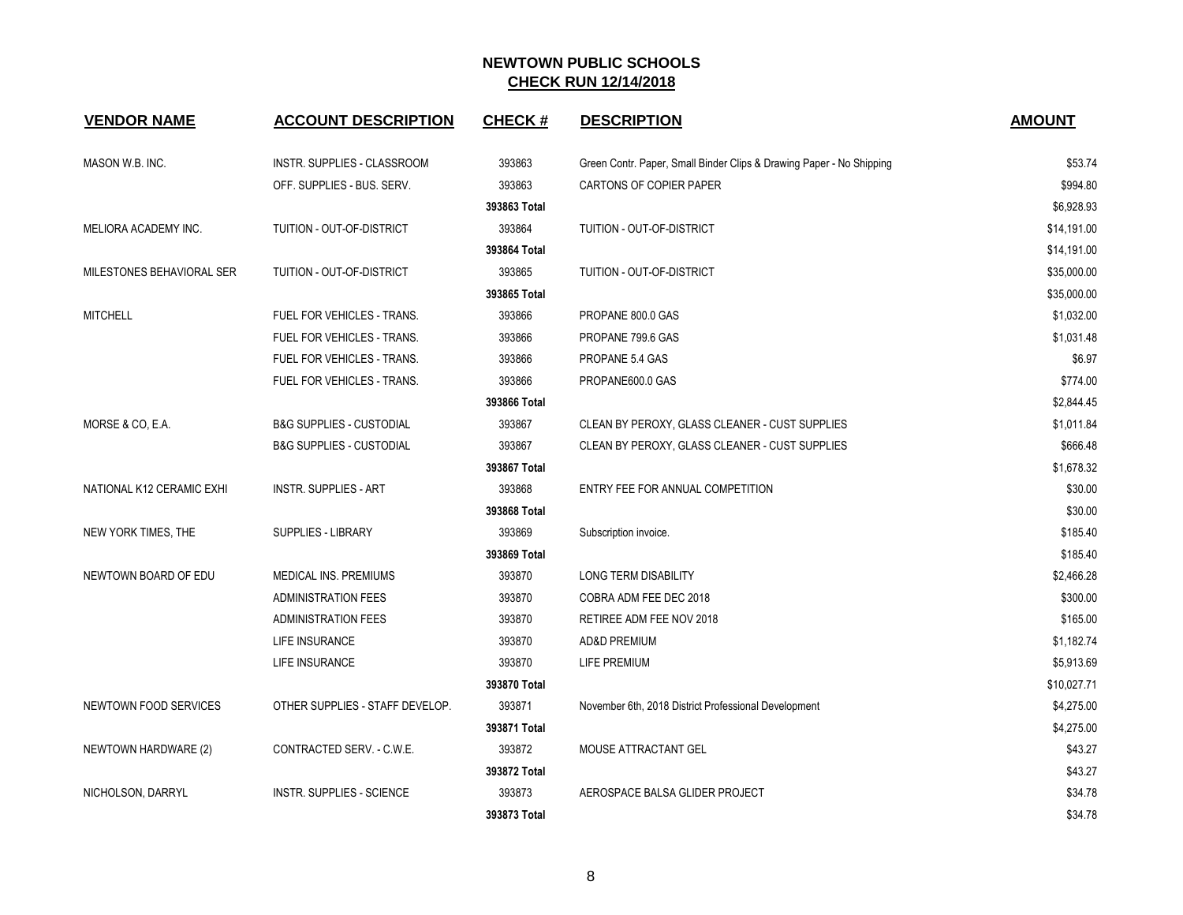| <b>VENDOR NAME</b>        | <b>ACCOUNT DESCRIPTION</b>          | <b>CHECK#</b> | <b>DESCRIPTION</b>                                                   | <b>AMOUNT</b> |
|---------------------------|-------------------------------------|---------------|----------------------------------------------------------------------|---------------|
| MASON W.B. INC.           | INSTR. SUPPLIES - CLASSROOM         | 393863        | Green Contr. Paper, Small Binder Clips & Drawing Paper - No Shipping | \$53.74       |
|                           | OFF. SUPPLIES - BUS. SERV.          | 393863        | CARTONS OF COPIER PAPER                                              | \$994.80      |
|                           |                                     | 393863 Total  |                                                                      | \$6,928.93    |
| MELIORA ACADEMY INC.      | TUITION - OUT-OF-DISTRICT           | 393864        | TUITION - OUT-OF-DISTRICT                                            | \$14,191.00   |
|                           |                                     | 393864 Total  |                                                                      | \$14,191.00   |
| MILESTONES BEHAVIORAL SER | TUITION - OUT-OF-DISTRICT           | 393865        | TUITION - OUT-OF-DISTRICT                                            | \$35,000.00   |
|                           |                                     | 393865 Total  |                                                                      | \$35,000.00   |
| <b>MITCHELL</b>           | FUEL FOR VEHICLES - TRANS.          | 393866        | PROPANE 800.0 GAS                                                    | \$1,032.00    |
|                           | FUEL FOR VEHICLES - TRANS.          | 393866        | PROPANE 799.6 GAS                                                    | \$1,031.48    |
|                           | FUEL FOR VEHICLES - TRANS.          | 393866        | PROPANE 5.4 GAS                                                      | \$6.97        |
|                           | <b>FUEL FOR VEHICLES - TRANS.</b>   | 393866        | PROPANE600.0 GAS                                                     | \$774.00      |
|                           |                                     | 393866 Total  |                                                                      | \$2,844.45    |
| MORSE & CO, E.A.          | <b>B&amp;G SUPPLIES - CUSTODIAL</b> | 393867        | CLEAN BY PEROXY, GLASS CLEANER - CUST SUPPLIES                       | \$1,011.84    |
|                           | <b>B&amp;G SUPPLIES - CUSTODIAL</b> | 393867        | CLEAN BY PEROXY, GLASS CLEANER - CUST SUPPLIES                       | \$666.48      |
|                           |                                     | 393867 Total  |                                                                      | \$1,678.32    |
| NATIONAL K12 CERAMIC EXHI | <b>INSTR. SUPPLIES - ART</b>        | 393868        | ENTRY FEE FOR ANNUAL COMPETITION                                     | \$30.00       |
|                           |                                     | 393868 Total  |                                                                      | \$30.00       |
| NEW YORK TIMES, THE       | SUPPLIES - LIBRARY                  | 393869        | Subscription invoice.                                                | \$185.40      |
|                           |                                     | 393869 Total  |                                                                      | \$185.40      |
| NEWTOWN BOARD OF EDU      | MEDICAL INS. PREMIUMS               | 393870        | LONG TERM DISABILITY                                                 | \$2,466.28    |
|                           | <b>ADMINISTRATION FEES</b>          | 393870        | COBRA ADM FEE DEC 2018                                               | \$300.00      |
|                           | <b>ADMINISTRATION FEES</b>          | 393870        | RETIREE ADM FEE NOV 2018                                             | \$165.00      |
|                           | LIFE INSURANCE                      | 393870        | <b>AD&amp;D PREMIUM</b>                                              | \$1,182.74    |
|                           | LIFE INSURANCE                      | 393870        | <b>LIFE PREMIUM</b>                                                  | \$5,913.69    |
|                           |                                     | 393870 Total  |                                                                      | \$10,027.71   |
| NEWTOWN FOOD SERVICES     | OTHER SUPPLIES - STAFF DEVELOP.     | 393871        | November 6th, 2018 District Professional Development                 | \$4,275.00    |
|                           |                                     | 393871 Total  |                                                                      | \$4,275.00    |
| NEWTOWN HARDWARE (2)      | CONTRACTED SERV. - C.W.E.           | 393872        | <b>MOUSE ATTRACTANT GEL</b>                                          | \$43.27       |
|                           |                                     | 393872 Total  |                                                                      | \$43.27       |
| NICHOLSON, DARRYL         | <b>INSTR. SUPPLIES - SCIENCE</b>    | 393873        | AEROSPACE BALSA GLIDER PROJECT                                       | \$34.78       |
|                           |                                     | 393873 Total  |                                                                      | \$34.78       |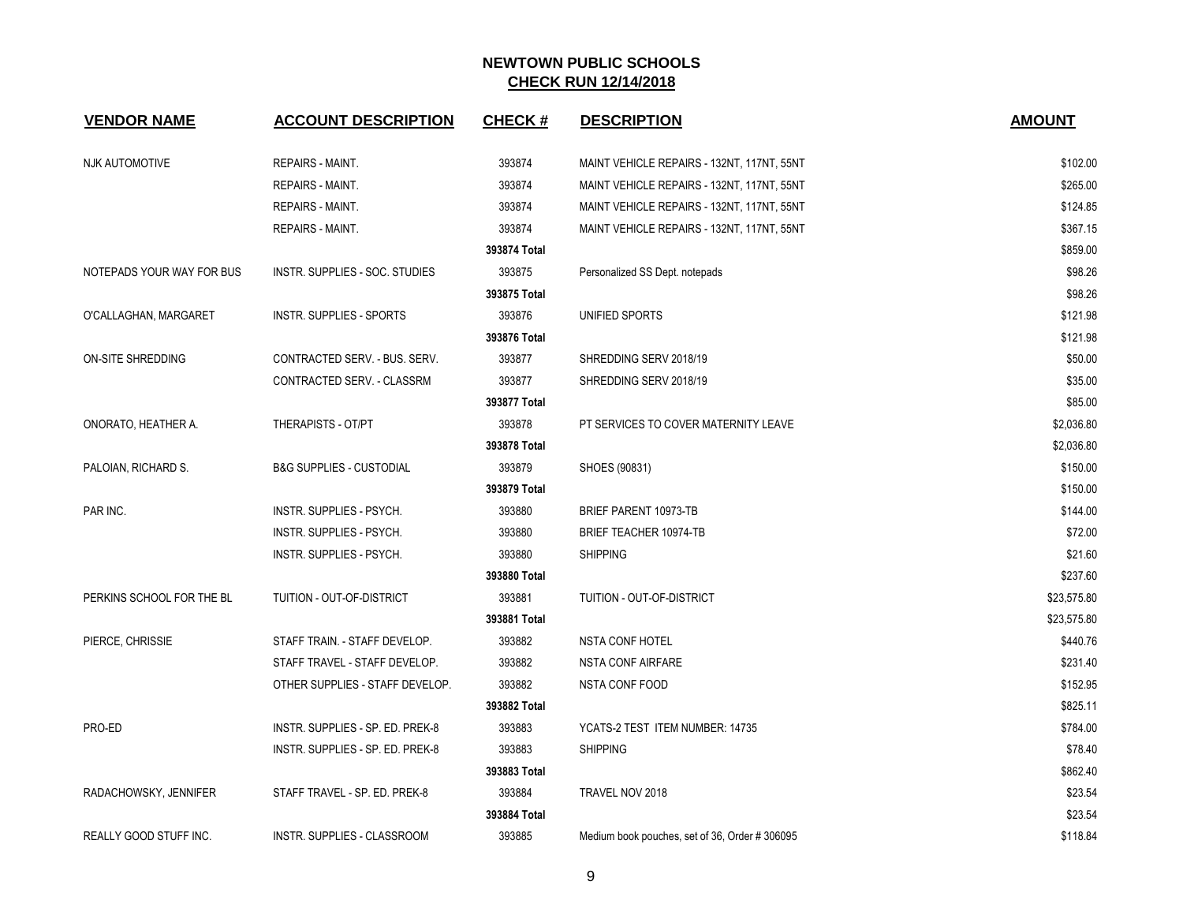| <b>VENDOR NAME</b>        | <b>ACCOUNT DESCRIPTION</b>          | <b>CHECK#</b> | <b>DESCRIPTION</b>                             | <b>AMOUNT</b> |
|---------------------------|-------------------------------------|---------------|------------------------------------------------|---------------|
| <b>NJK AUTOMOTIVE</b>     | <b>REPAIRS - MAINT.</b>             | 393874        | MAINT VEHICLE REPAIRS - 132NT, 117NT, 55NT     | \$102.00      |
|                           | <b>REPAIRS - MAINT.</b>             | 393874        | MAINT VEHICLE REPAIRS - 132NT, 117NT, 55NT     | \$265.00      |
|                           | <b>REPAIRS - MAINT.</b>             | 393874        | MAINT VEHICLE REPAIRS - 132NT, 117NT, 55NT     | \$124.85      |
|                           | REPAIRS - MAINT.                    | 393874        | MAINT VEHICLE REPAIRS - 132NT, 117NT, 55NT     | \$367.15      |
|                           |                                     | 393874 Total  |                                                | \$859.00      |
| NOTEPADS YOUR WAY FOR BUS | INSTR. SUPPLIES - SOC. STUDIES      | 393875        | Personalized SS Dept. notepads                 | \$98.26       |
|                           |                                     | 393875 Total  |                                                | \$98.26       |
| O'CALLAGHAN, MARGARET     | <b>INSTR. SUPPLIES - SPORTS</b>     | 393876        | UNIFIED SPORTS                                 | \$121.98      |
|                           |                                     | 393876 Total  |                                                | \$121.98      |
| ON-SITE SHREDDING         | CONTRACTED SERV. - BUS. SERV.       | 393877        | SHREDDING SERV 2018/19                         | \$50.00       |
|                           | CONTRACTED SERV. - CLASSRM          | 393877        | SHREDDING SERV 2018/19                         | \$35.00       |
|                           |                                     | 393877 Total  |                                                | \$85.00       |
| ONORATO, HEATHER A.       | THERAPISTS - OT/PT                  | 393878        | PT SERVICES TO COVER MATERNITY LEAVE           | \$2,036.80    |
|                           |                                     | 393878 Total  |                                                | \$2,036.80    |
| PALOIAN, RICHARD S.       | <b>B&amp;G SUPPLIES - CUSTODIAL</b> | 393879        | SHOES (90831)                                  | \$150.00      |
|                           |                                     | 393879 Total  |                                                | \$150.00      |
| PAR INC.                  | INSTR. SUPPLIES - PSYCH.            | 393880        | BRIEF PARENT 10973-TB                          | \$144.00      |
|                           | INSTR. SUPPLIES - PSYCH.            | 393880        | BRIEF TEACHER 10974-TB                         | \$72.00       |
|                           | INSTR. SUPPLIES - PSYCH.            | 393880        | <b>SHIPPING</b>                                | \$21.60       |
|                           |                                     | 393880 Total  |                                                | \$237.60      |
| PERKINS SCHOOL FOR THE BL | TUITION - OUT-OF-DISTRICT           | 393881        | TUITION - OUT-OF-DISTRICT                      | \$23,575.80   |
|                           |                                     | 393881 Total  |                                                | \$23,575.80   |
| PIERCE, CHRISSIE          | STAFF TRAIN. - STAFF DEVELOP.       | 393882        | <b>NSTA CONF HOTEL</b>                         | \$440.76      |
|                           | STAFF TRAVEL - STAFF DEVELOP.       | 393882        | NSTA CONF AIRFARE                              | \$231.40      |
|                           | OTHER SUPPLIES - STAFF DEVELOP.     | 393882        | NSTA CONF FOOD                                 | \$152.95      |
|                           |                                     | 393882 Total  |                                                | \$825.11      |
| PRO-ED                    | INSTR. SUPPLIES - SP. ED. PREK-8    | 393883        | YCATS-2 TEST ITEM NUMBER: 14735                | \$784.00      |
|                           | INSTR. SUPPLIES - SP. ED. PREK-8    | 393883        | <b>SHIPPING</b>                                | \$78.40       |
|                           |                                     | 393883 Total  |                                                | \$862.40      |
| RADACHOWSKY, JENNIFER     | STAFF TRAVEL - SP. ED. PREK-8       | 393884        | TRAVEL NOV 2018                                | \$23.54       |
|                           |                                     | 393884 Total  |                                                | \$23.54       |
| REALLY GOOD STUFF INC.    | INSTR. SUPPLIES - CLASSROOM         | 393885        | Medium book pouches, set of 36, Order # 306095 | \$118.84      |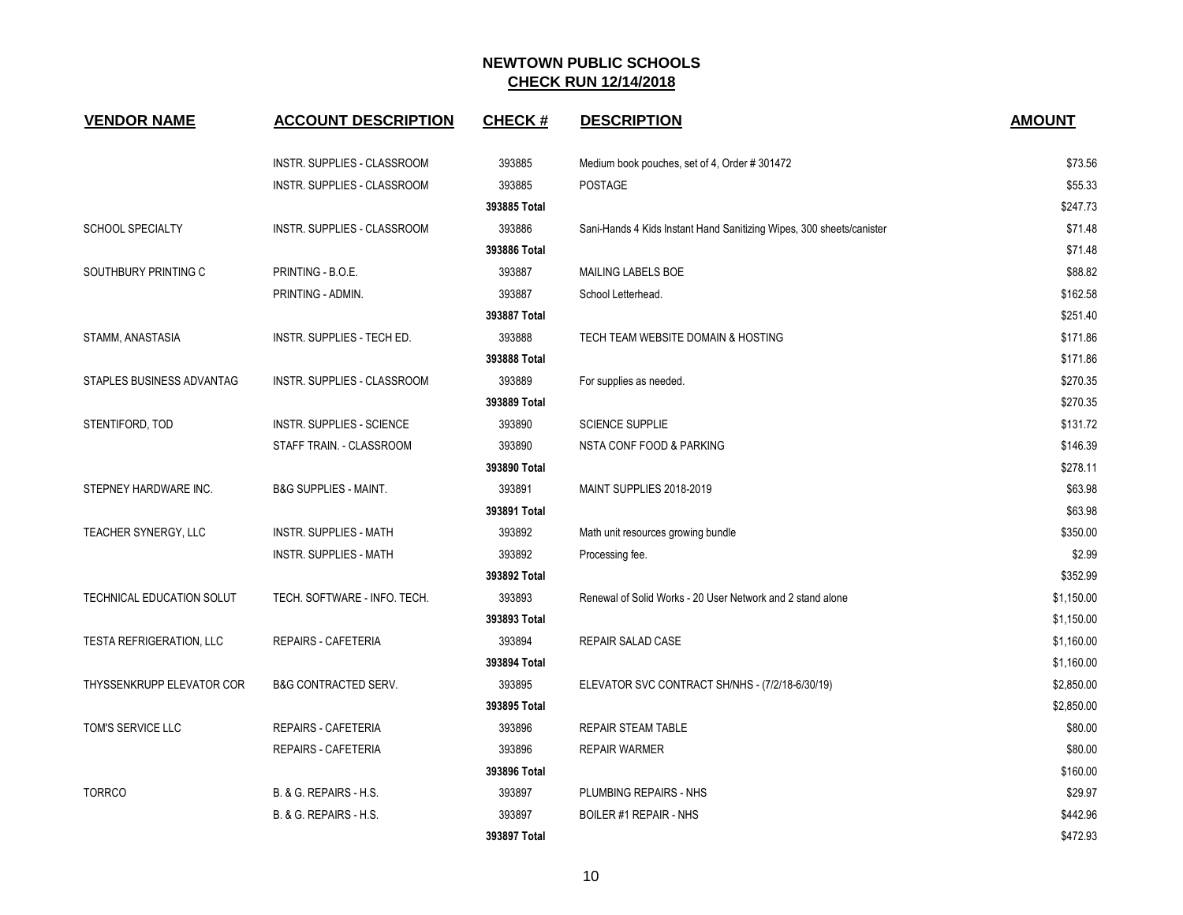| <b>VENDOR NAME</b>              | <b>ACCOUNT DESCRIPTION</b>         | <b>CHECK#</b> | <b>DESCRIPTION</b>                                                   | <b>AMOUNT</b> |
|---------------------------------|------------------------------------|---------------|----------------------------------------------------------------------|---------------|
|                                 | INSTR. SUPPLIES - CLASSROOM        | 393885        | Medium book pouches, set of 4, Order #301472                         | \$73.56       |
|                                 | INSTR. SUPPLIES - CLASSROOM        | 393885        | <b>POSTAGE</b>                                                       | \$55.33       |
|                                 |                                    | 393885 Total  |                                                                      | \$247.73      |
| <b>SCHOOL SPECIALTY</b>         | INSTR. SUPPLIES - CLASSROOM        | 393886        | Sani-Hands 4 Kids Instant Hand Sanitizing Wipes, 300 sheets/canister | \$71.48       |
|                                 |                                    | 393886 Total  |                                                                      | \$71.48       |
| SOUTHBURY PRINTING C            | PRINTING - B.O.E.                  | 393887        | MAILING LABELS BOE                                                   | \$88.82       |
|                                 | PRINTING - ADMIN.                  | 393887        | School Letterhead.                                                   | \$162.58      |
|                                 |                                    | 393887 Total  |                                                                      | \$251.40      |
| STAMM, ANASTASIA                | INSTR. SUPPLIES - TECH ED.         | 393888        | TECH TEAM WEBSITE DOMAIN & HOSTING                                   | \$171.86      |
|                                 |                                    | 393888 Total  |                                                                      | \$171.86      |
| STAPLES BUSINESS ADVANTAG       | <b>INSTR. SUPPLIES - CLASSROOM</b> | 393889        | For supplies as needed.                                              | \$270.35      |
|                                 |                                    | 393889 Total  |                                                                      | \$270.35      |
| STENTIFORD, TOD                 | INSTR. SUPPLIES - SCIENCE          | 393890        | <b>SCIENCE SUPPLIE</b>                                               | \$131.72      |
|                                 | STAFF TRAIN. - CLASSROOM           | 393890        | NSTA CONF FOOD & PARKING                                             | \$146.39      |
|                                 |                                    | 393890 Total  |                                                                      | \$278.11      |
| STEPNEY HARDWARE INC.           | <b>B&amp;G SUPPLIES - MAINT.</b>   | 393891        | MAINT SUPPLIES 2018-2019                                             | \$63.98       |
|                                 |                                    | 393891 Total  |                                                                      | \$63.98       |
| TEACHER SYNERGY, LLC            | <b>INSTR. SUPPLIES - MATH</b>      | 393892        | Math unit resources growing bundle                                   | \$350.00      |
|                                 | <b>INSTR. SUPPLIES - MATH</b>      | 393892        | Processing fee.                                                      | \$2.99        |
|                                 |                                    | 393892 Total  |                                                                      | \$352.99      |
| TECHNICAL EDUCATION SOLUT       | TECH. SOFTWARE - INFO. TECH.       | 393893        | Renewal of Solid Works - 20 User Network and 2 stand alone           | \$1,150.00    |
|                                 |                                    | 393893 Total  |                                                                      | \$1,150.00    |
| <b>TESTA REFRIGERATION, LLC</b> | <b>REPAIRS - CAFETERIA</b>         | 393894        | REPAIR SALAD CASE                                                    | \$1,160.00    |
|                                 |                                    | 393894 Total  |                                                                      | \$1,160.00    |
| THYSSENKRUPP ELEVATOR COR       | <b>B&amp;G CONTRACTED SERV.</b>    | 393895        | ELEVATOR SVC CONTRACT SH/NHS - (7/2/18-6/30/19)                      | \$2,850.00    |
|                                 |                                    | 393895 Total  |                                                                      | \$2,850.00    |
| TOM'S SERVICE LLC               | REPAIRS - CAFETERIA                | 393896        | <b>REPAIR STEAM TABLE</b>                                            | \$80.00       |
|                                 | <b>REPAIRS - CAFETERIA</b>         | 393896        | <b>REPAIR WARMER</b>                                                 | \$80.00       |
|                                 |                                    | 393896 Total  |                                                                      | \$160.00      |
| <b>TORRCO</b>                   | B. & G. REPAIRS - H.S.             | 393897        | PLUMBING REPAIRS - NHS                                               | \$29.97       |
|                                 | B. & G. REPAIRS - H.S.             | 393897        | <b>BOILER #1 REPAIR - NHS</b>                                        | \$442.96      |
|                                 |                                    | 393897 Total  |                                                                      | \$472.93      |